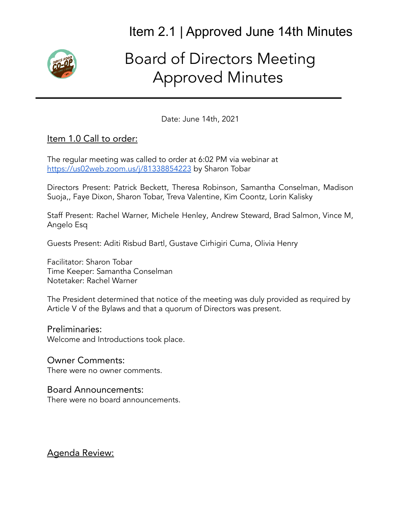

# Board of Directors Meeting Approved Minutes

Date: June 14th, 2021

### Item 1.0 Call to order:

The regular meeting was called to order at 6:02 PM via webinar at <https://us02web.zoom.us/j/81338854223> by Sharon Tobar

Directors Present: Patrick Beckett, Theresa Robinson, Samantha Conselman, Madison Suoja,, Faye Dixon, Sharon Tobar, Treva Valentine, Kim Coontz, Lorin Kalisky

Staff Present: Rachel Warner, Michele Henley, Andrew Steward, Brad Salmon, Vince M, Angelo Esq

Guests Present: Aditi Risbud Bartl, Gustave Cirhigiri Cuma, Olivia Henry

Facilitator: Sharon Tobar Time Keeper: Samantha Conselman Notetaker: Rachel Warner

The President determined that notice of the meeting was duly provided as required by Article V of the Bylaws and that a quorum of Directors was present.

Preliminaries: Welcome and Introductions took place.

Owner Comments: There were no owner comments.

#### Board Announcements:

There were no board announcements.

Agenda Review: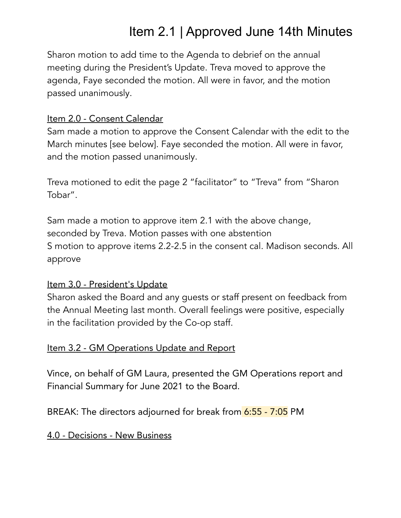Sharon motion to add time to the Agenda to debrief on the annual meeting during the President's Update. Treva moved to approve the agenda, Faye seconded the motion. All were in favor, and the motion passed unanimously.

# Item 2.0 - Consent Calendar

Sam made a motion to approve the Consent Calendar with the edit to the March minutes [see below]. Faye seconded the motion. All were in favor, and the motion passed unanimously.

Treva motioned to edit the page 2 "facilitator" to "Treva" from "Sharon Tobar".

Sam made a motion to approve item 2.1 with the above change, seconded by Treva. Motion passes with one abstention S motion to approve items 2.2-2.5 in the consent cal. Madison seconds. All approve

### Item 3.0 - President's Update

Sharon asked the Board and any guests or staff present on feedback from the Annual Meeting last month. Overall feelings were positive, especially in the facilitation provided by the Co-op staff.

# Item 3.2 - GM Operations Update and Report

Vince, on behalf of GM Laura, presented the GM Operations report and Financial Summary for June 2021 to the Board.

BREAK: The directors adjourned for break from 6:55 - 7:05 PM

### 4.0 - Decisions - New Business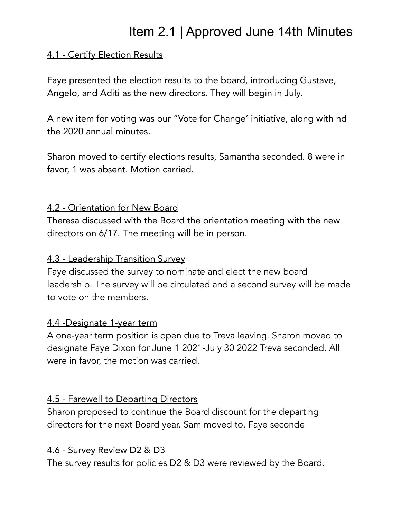# 4.1 - Certify Election Results

Faye presented the election results to the board, introducing Gustave, Angelo, and Aditi as the new directors. They will begin in July.

A new item for voting was our "Vote for Change' initiative, along with nd the 2020 annual minutes.

Sharon moved to certify elections results, Samantha seconded. 8 were in favor, 1 was absent. Motion carried.

# 4.2 - Orientation for New Board

Theresa discussed with the Board the orientation meeting with the new directors on 6/17. The meeting will be in person.

#### 4.3 - Leadership Transition Survey

Faye discussed the survey to nominate and elect the new board leadership. The survey will be circulated and a second survey will be made to vote on the members.

### 4.4 -Designate 1-year term

A one-year term position is open due to Treva leaving. Sharon moved to designate Faye Dixon for June 1 2021-July 30 2022 Treva seconded. All were in favor, the motion was carried.

### 4.5 - Farewell to Departing Directors

Sharon proposed to continue the Board discount for the departing directors for the next Board year. Sam moved to, Faye seconde

### 4.6 - Survey Review D2 & D3

The survey results for policies D2 & D3 were reviewed by the Board.